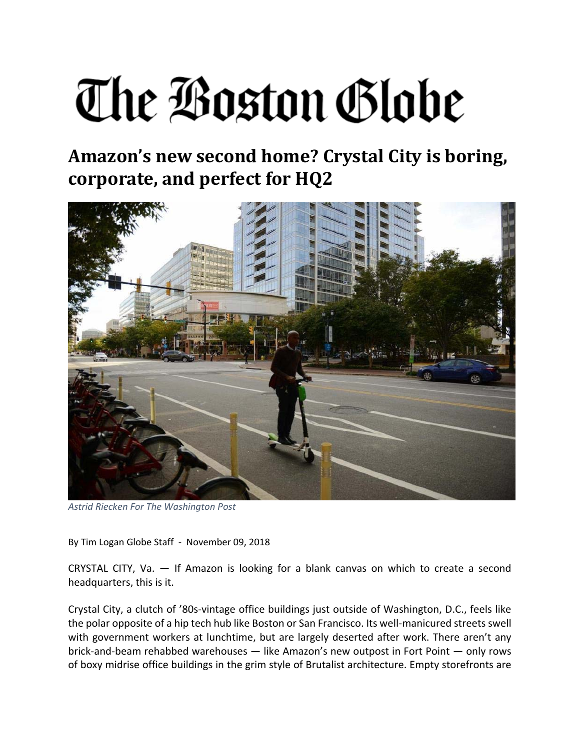## The Boston Globe

## **Amazon's new second home? Crystal City is boring, corporate, and perfect for HQ2**



*Astrid Riecken For The Washington Post*

By Tim Logan Globe Staff ‐ November 09, 2018

CRYSTAL CITY, Va. — If Amazon is looking for a blank canvas on which to create a second headquarters, this is it.

Crystal City, a clutch of '80s‐vintage office buildings just outside of Washington, D.C., feels like the polar opposite of a hip tech hub like Boston or San Francisco. Its well‐manicured streets swell with government workers at lunchtime, but are largely deserted after work. There aren't any brick‐and‐beam rehabbed warehouses — like Amazon's new outpost in Fort Point — only rows of boxy midrise office buildings in the grim style of Brutalist architecture. Empty storefronts are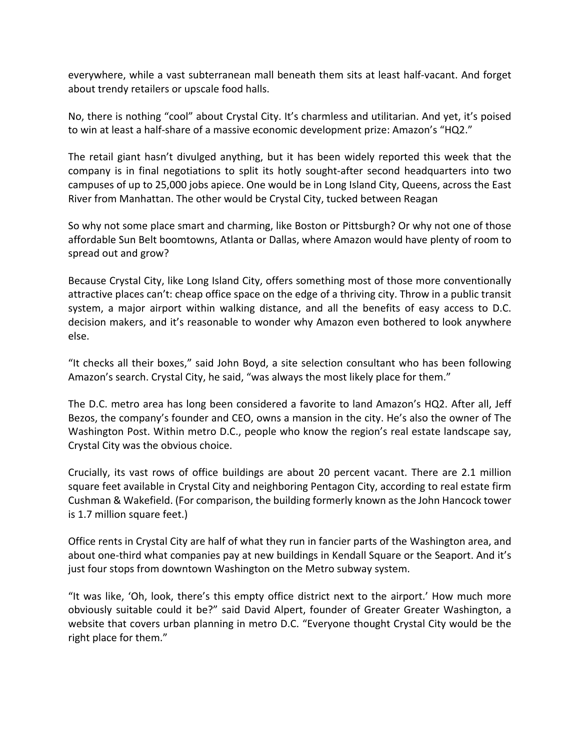everywhere, while a vast subterranean mall beneath them sits at least half‐vacant. And forget about trendy retailers or upscale food halls.

No, there is nothing "cool" about Crystal City. It's charmless and utilitarian. And yet, it's poised to win at least a half‐share of a massive economic development prize: Amazon's "HQ2."

The retail giant hasn't divulged anything, but it has been widely reported this week that the company is in final negotiations to split its hotly sought-after second headquarters into two campuses of up to 25,000 jobs apiece. One would be in Long Island City, Queens, across the East River from Manhattan. The other would be Crystal City, tucked between Reagan

So why not some place smart and charming, like Boston or Pittsburgh? Or why not one of those affordable Sun Belt boomtowns, Atlanta or Dallas, where Amazon would have plenty of room to spread out and grow?

Because Crystal City, like Long Island City, offers something most of those more conventionally attractive places can't: cheap office space on the edge of a thriving city. Throw in a public transit system, a major airport within walking distance, and all the benefits of easy access to D.C. decision makers, and it's reasonable to wonder why Amazon even bothered to look anywhere else.

"It checks all their boxes," said John Boyd, a site selection consultant who has been following Amazon's search. Crystal City, he said, "was always the most likely place for them."

The D.C. metro area has long been considered a favorite to land Amazon's HQ2. After all, Jeff Bezos, the company's founder and CEO, owns a mansion in the city. He's also the owner of The Washington Post. Within metro D.C., people who know the region's real estate landscape say, Crystal City was the obvious choice.

Crucially, its vast rows of office buildings are about 20 percent vacant. There are 2.1 million square feet available in Crystal City and neighboring Pentagon City, according to real estate firm Cushman & Wakefield. (For comparison, the building formerly known as the John Hancock tower is 1.7 million square feet.)

Office rents in Crystal City are half of what they run in fancier parts of the Washington area, and about one‐third what companies pay at new buildings in Kendall Square or the Seaport. And it's just four stops from downtown Washington on the Metro subway system.

"It was like, 'Oh, look, there's this empty office district next to the airport.' How much more obviously suitable could it be?" said David Alpert, founder of Greater Greater Washington, a website that covers urban planning in metro D.C. "Everyone thought Crystal City would be the right place for them."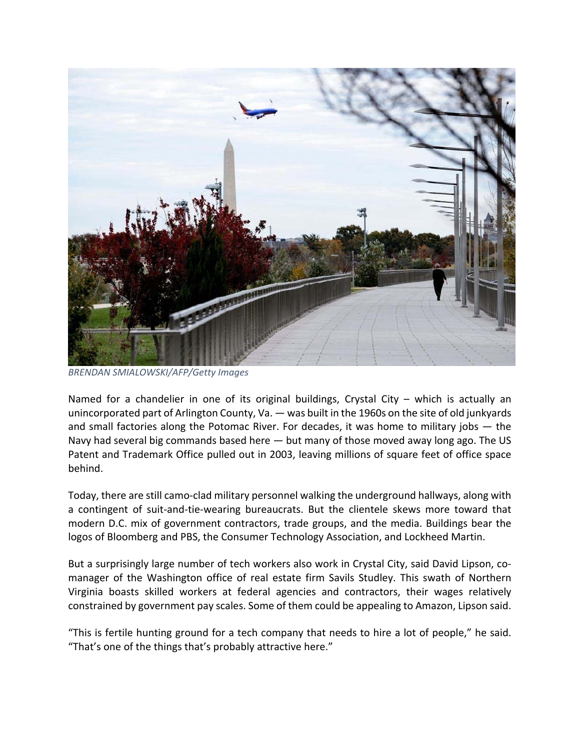

*BRENDAN SMIALOWSKI/AFP/Getty Images*

Named for a chandelier in one of its original buildings, Crystal City – which is actually an unincorporated part of Arlington County, Va. — was built in the 1960s on the site of old junkyards and small factories along the Potomac River. For decades, it was home to military jobs  $-$  the Navy had several big commands based here — but many of those moved away long ago. The US Patent and Trademark Office pulled out in 2003, leaving millions of square feet of office space behind.

Today, there are still camo‐clad military personnel walking the underground hallways, along with a contingent of suit-and-tie-wearing bureaucrats. But the clientele skews more toward that modern D.C. mix of government contractors, trade groups, and the media. Buildings bear the logos of Bloomberg and PBS, the Consumer Technology Association, and Lockheed Martin.

But a surprisingly large number of tech workers also work in Crystal City, said David Lipson, comanager of the Washington office of real estate firm Savils Studley. This swath of Northern Virginia boasts skilled workers at federal agencies and contractors, their wages relatively constrained by government pay scales. Some of them could be appealing to Amazon, Lipson said.

"This is fertile hunting ground for a tech company that needs to hire a lot of people," he said. "That's one of the things that's probably attractive here."